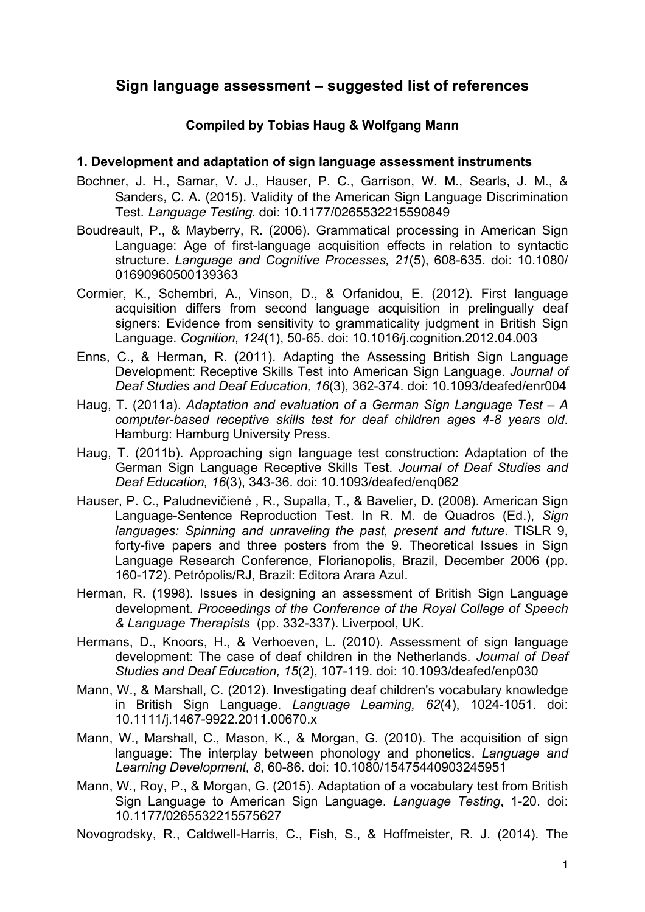# **Sign language assessment – suggested list of references**

## **Compiled by Tobias Haug & Wolfgang Mann**

#### **1. Development and adaptation of sign language assessment instruments**

- Bochner, J. H., Samar, V. J., Hauser, P. C., Garrison, W. M., Searls, J. M., & Sanders, C. A. (2015). Validity of the American Sign Language Discrimination Test. *Language Testing*. doi: 10.1177/0265532215590849
- Boudreault, P., & Mayberry, R. (2006). Grammatical processing in American Sign Language: Age of first-language acquisition effects in relation to syntactic structure. *Language and Cognitive Processes, 21*(5), 608-635. doi: 10.1080/ 01690960500139363
- Cormier, K., Schembri, A., Vinson, D., & Orfanidou, E. (2012). First language acquisition differs from second language acquisition in prelingually deaf signers: Evidence from sensitivity to grammaticality judgment in British Sign Language. *Cognition, 124*(1), 50-65. doi: 10.1016/j.cognition.2012.04.003
- Enns, C., & Herman, R. (2011). Adapting the Assessing British Sign Language Development: Receptive Skills Test into American Sign Language. *Journal of Deaf Studies and Deaf Education, 16*(3), 362-374. doi: 10.1093/deafed/enr004
- Haug, T. (2011a). *Adaptation and evaluation of a German Sign Language Test – A computer-based receptive skills test for deaf children ages 4-8 years old*. Hamburg: Hamburg University Press.
- Haug, T. (2011b). Approaching sign language test construction: Adaptation of the German Sign Language Receptive Skills Test. *Journal of Deaf Studies and Deaf Education, 16*(3), 343-36. doi: 10.1093/deafed/enq062
- Hauser, P. C., Paludnevičienė , R., Supalla, T., & Bavelier, D. (2008). American Sign Language-Sentence Reproduction Test. In R. M. de Quadros (Ed.), *Sign languages: Spinning and unraveling the past, present and future*. TISLR 9, forty-five papers and three posters from the 9. Theoretical Issues in Sign Language Research Conference, Florianopolis, Brazil, December 2006 (pp. 160-172). Petrópolis/RJ, Brazil: Editora Arara Azul.
- Herman, R. (1998). Issues in designing an assessment of British Sign Language development. *Proceedings of the Conference of the Royal College of Speech & Language Therapists* (pp. 332-337). Liverpool, UK.
- Hermans, D., Knoors, H., & Verhoeven, L. (2010). Assessment of sign language development: The case of deaf children in the Netherlands. *Journal of Deaf Studies and Deaf Education, 15*(2), 107-119. doi: 10.1093/deafed/enp030
- Mann, W., & Marshall, C. (2012). Investigating deaf children's vocabulary knowledge in British Sign Language. *Language Learning, 62*(4), 1024-1051. doi: 10.1111/j.1467-9922.2011.00670.x
- Mann, W., Marshall, C., Mason, K., & Morgan, G. (2010). The acquisition of sign language: The interplay between phonology and phonetics. *Language and Learning Development, 8*, 60-86. doi: 10.1080/15475440903245951
- Mann, W., Roy, P., & Morgan, G. (2015). Adaptation of a vocabulary test from British Sign Language to American Sign Language. *Language Testing*, 1-20. doi: 10.1177/0265532215575627

Novogrodsky, R., Caldwell-Harris, C., Fish, S., & Hoffmeister, R. J. (2014). The